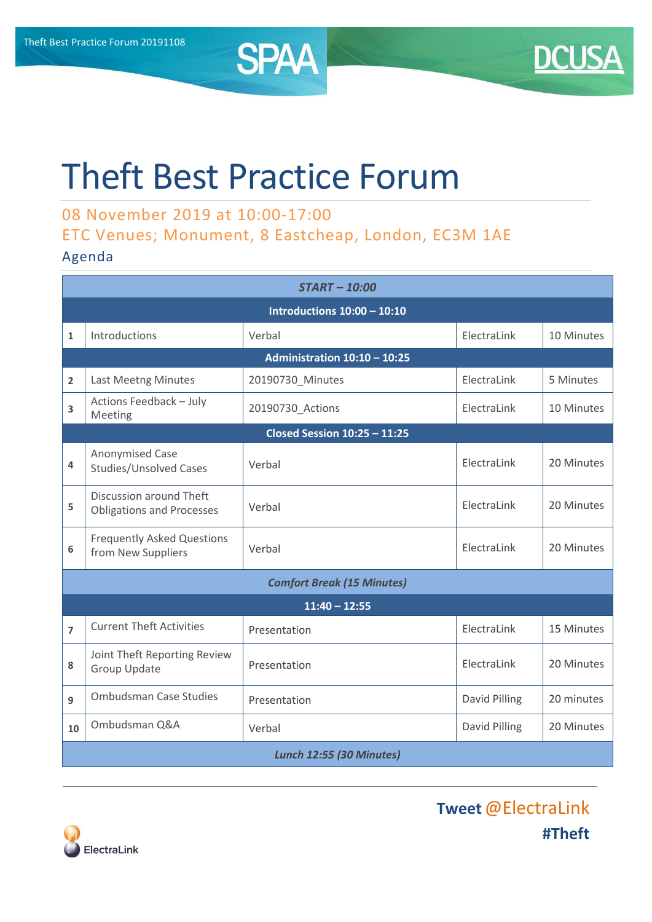



## Theft Best Practice Forum

## 08 November 2019 at 10:00-17:00 ETC Venues; Monument, 8 Eastcheap, London, EC3M 1AE

## Agenda

| <b>START-10:00</b>                  |                                                             |                  |               |            |  |  |  |
|-------------------------------------|-------------------------------------------------------------|------------------|---------------|------------|--|--|--|
| Introductions $10:00 - 10:10$       |                                                             |                  |               |            |  |  |  |
| $\mathbf{1}$                        | Introductions                                               | Verbal           | ElectraLink   | 10 Minutes |  |  |  |
| Administration 10:10 - 10:25        |                                                             |                  |               |            |  |  |  |
| $\overline{2}$                      | Last Meetng Minutes                                         | 20190730_Minutes | ElectraLink   | 5 Minutes  |  |  |  |
| 3                                   | Actions Feedback - July<br>Meeting                          | 20190730_Actions | ElectraLink   | 10 Minutes |  |  |  |
| <b>Closed Session 10:25 - 11:25</b> |                                                             |                  |               |            |  |  |  |
| 4                                   | Anonymised Case<br><b>Studies/Unsolved Cases</b>            | Verbal           | ElectraLink   | 20 Minutes |  |  |  |
| 5                                   | Discussion around Theft<br><b>Obligations and Processes</b> | Verbal           | ElectraLink   | 20 Minutes |  |  |  |
| 6                                   | <b>Frequently Asked Questions</b><br>from New Suppliers     | Verbal           | ElectraLink   | 20 Minutes |  |  |  |
| <b>Comfort Break (15 Minutes)</b>   |                                                             |                  |               |            |  |  |  |
| $11:40 - 12:55$                     |                                                             |                  |               |            |  |  |  |
| $\overline{7}$                      | <b>Current Theft Activities</b>                             | Presentation     | ElectraLink   | 15 Minutes |  |  |  |
| 8                                   | Joint Theft Reporting Review<br><b>Group Update</b>         | Presentation     | ElectraLink   | 20 Minutes |  |  |  |
| 9                                   | <b>Ombudsman Case Studies</b>                               | Presentation     | David Pilling | 20 minutes |  |  |  |
| 10                                  | Ombudsman Q&A                                               | Verbal           | David Pilling | 20 Minutes |  |  |  |
| <b>Lunch 12:55 (30 Minutes)</b>     |                                                             |                  |               |            |  |  |  |



**Tweet**@ElectraLink **#Theft**